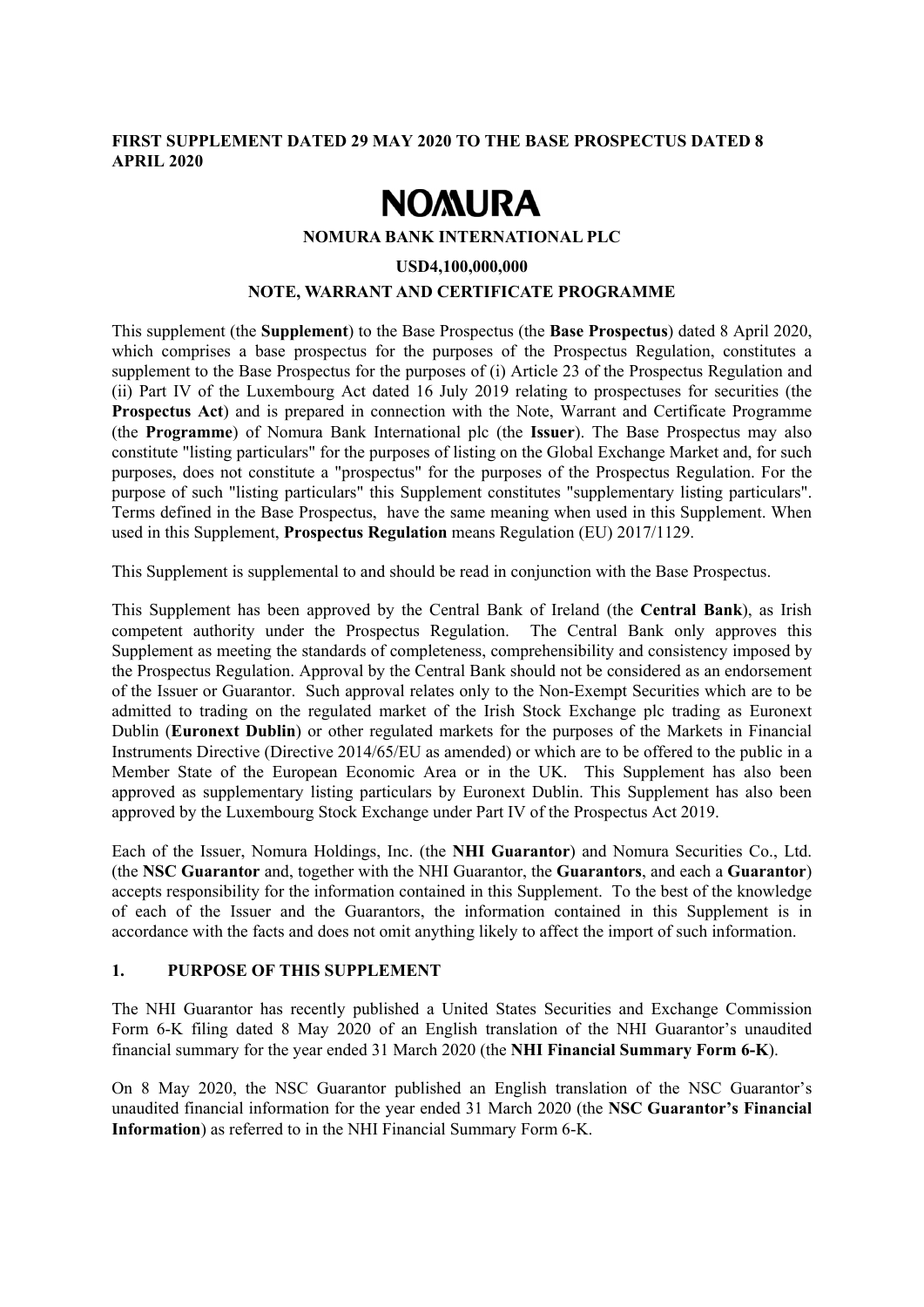## **FIRST SUPPLEMENT DATED 29 MAY 2020 TO THE BASE PROSPECTUS DATED 8 APRIL 2020**

# **NOMURA**

**NOMURA BANK INTERNATIONAL PLC** 

#### **USD4,100,000,000**

#### **NOTE, WARRANT AND CERTIFICATE PROGRAMME**

This supplement (the **Supplement**) to the Base Prospectus (the **Base Prospectus**) dated 8 April 2020, which comprises a base prospectus for the purposes of the Prospectus Regulation, constitutes a supplement to the Base Prospectus for the purposes of (i) Article 23 of the Prospectus Regulation and (ii) Part IV of the Luxembourg Act dated 16 July 2019 relating to prospectuses for securities (the **Prospectus Act**) and is prepared in connection with the Note, Warrant and Certificate Programme (the **Programme**) of Nomura Bank International plc (the **Issuer**). The Base Prospectus may also constitute "listing particulars" for the purposes of listing on the Global Exchange Market and, for such purposes, does not constitute a "prospectus" for the purposes of the Prospectus Regulation. For the purpose of such "listing particulars" this Supplement constitutes "supplementary listing particulars". Terms defined in the Base Prospectus, have the same meaning when used in this Supplement. When used in this Supplement, **Prospectus Regulation** means Regulation (EU) 2017/1129.

This Supplement is supplemental to and should be read in conjunction with the Base Prospectus.

This Supplement has been approved by the Central Bank of Ireland (the **Central Bank**), as Irish competent authority under the Prospectus Regulation. The Central Bank only approves this Supplement as meeting the standards of completeness, comprehensibility and consistency imposed by the Prospectus Regulation. Approval by the Central Bank should not be considered as an endorsement of the Issuer or Guarantor. Such approval relates only to the Non-Exempt Securities which are to be admitted to trading on the regulated market of the Irish Stock Exchange plc trading as Euronext Dublin (**Euronext Dublin**) or other regulated markets for the purposes of the Markets in Financial Instruments Directive (Directive 2014/65/EU as amended) or which are to be offered to the public in a Member State of the European Economic Area or in the UK. This Supplement has also been approved as supplementary listing particulars by Euronext Dublin. This Supplement has also been approved by the Luxembourg Stock Exchange under Part IV of the Prospectus Act 2019.

Each of the Issuer, Nomura Holdings, Inc. (the **NHI Guarantor**) and Nomura Securities Co., Ltd. (the **NSC Guarantor** and, together with the NHI Guarantor, the **Guarantors**, and each a **Guarantor**) accepts responsibility for the information contained in this Supplement. To the best of the knowledge of each of the Issuer and the Guarantors, the information contained in this Supplement is in accordance with the facts and does not omit anything likely to affect the import of such information.

## **1. PURPOSE OF THIS SUPPLEMENT**

The NHI Guarantor has recently published a United States Securities and Exchange Commission Form 6-K filing dated 8 May 2020 of an English translation of the NHI Guarantor's unaudited financial summary for the year ended 31 March 2020 (the **NHI Financial Summary Form 6-K**).

On 8 May 2020, the NSC Guarantor published an English translation of the NSC Guarantor's unaudited financial information for the year ended 31 March 2020 (the **NSC Guarantor's Financial Information**) as referred to in the NHI Financial Summary Form 6-K.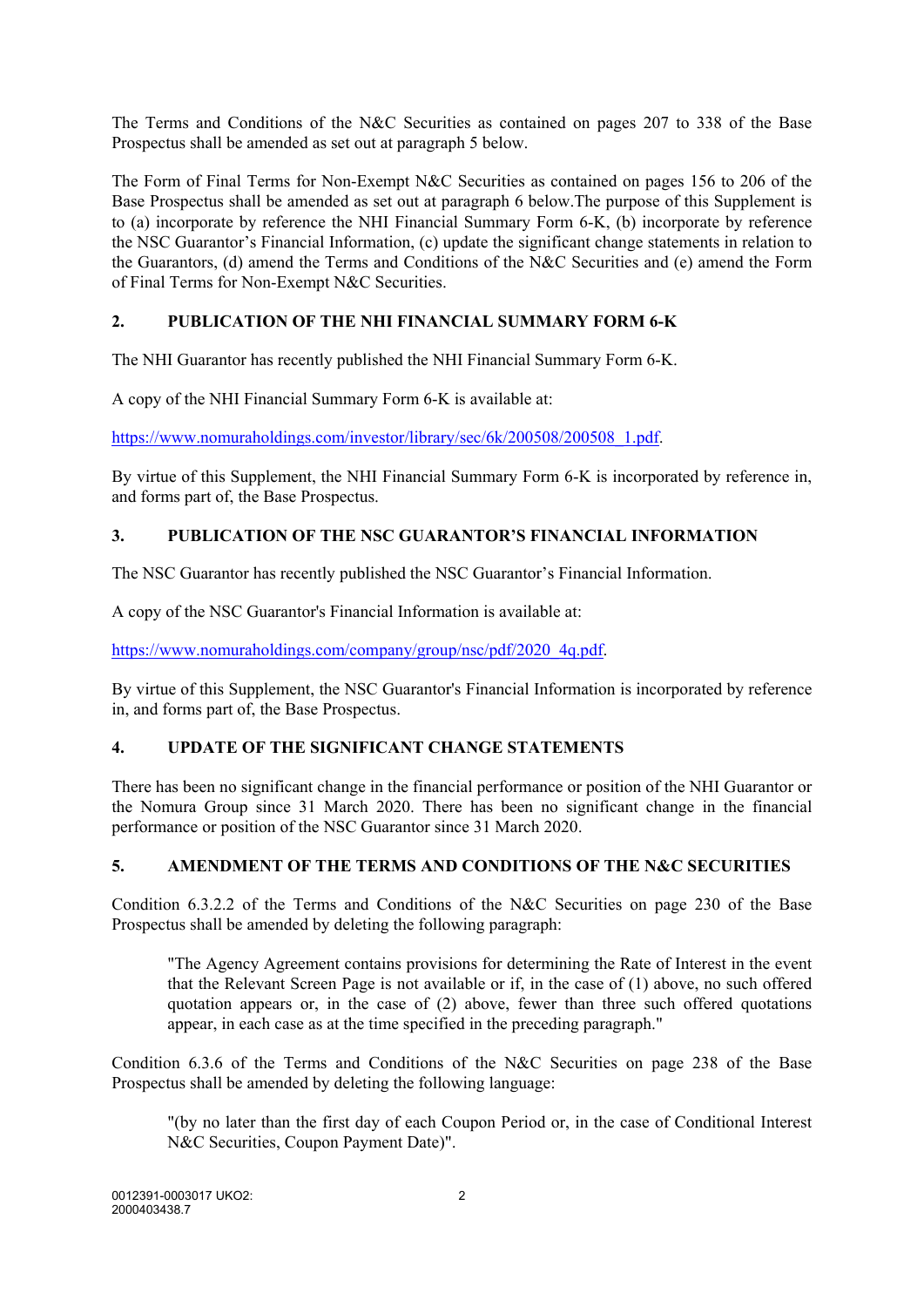The Terms and Conditions of the N&C Securities as contained on pages 207 to 338 of the Base Prospectus shall be amended as set out at paragraph 5 below.

The Form of Final Terms for Non-Exempt N&C Securities as contained on pages 156 to 206 of the Base Prospectus shall be amended as set out at paragraph 6 below.The purpose of this Supplement is to (a) incorporate by reference the NHI Financial Summary Form 6-K, (b) incorporate by reference the NSC Guarantor's Financial Information, (c) update the significant change statements in relation to the Guarantors, (d) amend the Terms and Conditions of the N&C Securities and (e) amend the Form of Final Terms for Non-Exempt N&C Securities.

# **2. PUBLICATION OF THE NHI FINANCIAL SUMMARY FORM 6-K**

The NHI Guarantor has recently published the NHI Financial Summary Form 6-K.

A copy of the NHI Financial Summary Form 6-K is available at:

https://www.nomuraholdings.com/investor/library/sec/6k/200508/200508\_1.pdf.

By virtue of this Supplement, the NHI Financial Summary Form 6-K is incorporated by reference in, and forms part of, the Base Prospectus.

## **3. PUBLICATION OF THE NSC GUARANTOR'S FINANCIAL INFORMATION**

The NSC Guarantor has recently published the NSC Guarantor's Financial Information.

A copy of the NSC Guarantor's Financial Information is available at:

https://www.nomuraholdings.com/company/group/nsc/pdf/2020\_4q.pdf.

By virtue of this Supplement, the NSC Guarantor's Financial Information is incorporated by reference in, and forms part of, the Base Prospectus.

## **4. UPDATE OF THE SIGNIFICANT CHANGE STATEMENTS**

There has been no significant change in the financial performance or position of the NHI Guarantor or the Nomura Group since 31 March 2020. There has been no significant change in the financial performance or position of the NSC Guarantor since 31 March 2020.

## **5. AMENDMENT OF THE TERMS AND CONDITIONS OF THE N&C SECURITIES**

Condition 6.3.2.2 of the Terms and Conditions of the N&C Securities on page 230 of the Base Prospectus shall be amended by deleting the following paragraph:

"The Agency Agreement contains provisions for determining the Rate of Interest in the event that the Relevant Screen Page is not available or if, in the case of (1) above, no such offered quotation appears or, in the case of (2) above, fewer than three such offered quotations appear, in each case as at the time specified in the preceding paragraph."

Condition 6.3.6 of the Terms and Conditions of the N&C Securities on page 238 of the Base Prospectus shall be amended by deleting the following language:

"(by no later than the first day of each Coupon Period or, in the case of Conditional Interest N&C Securities, Coupon Payment Date)".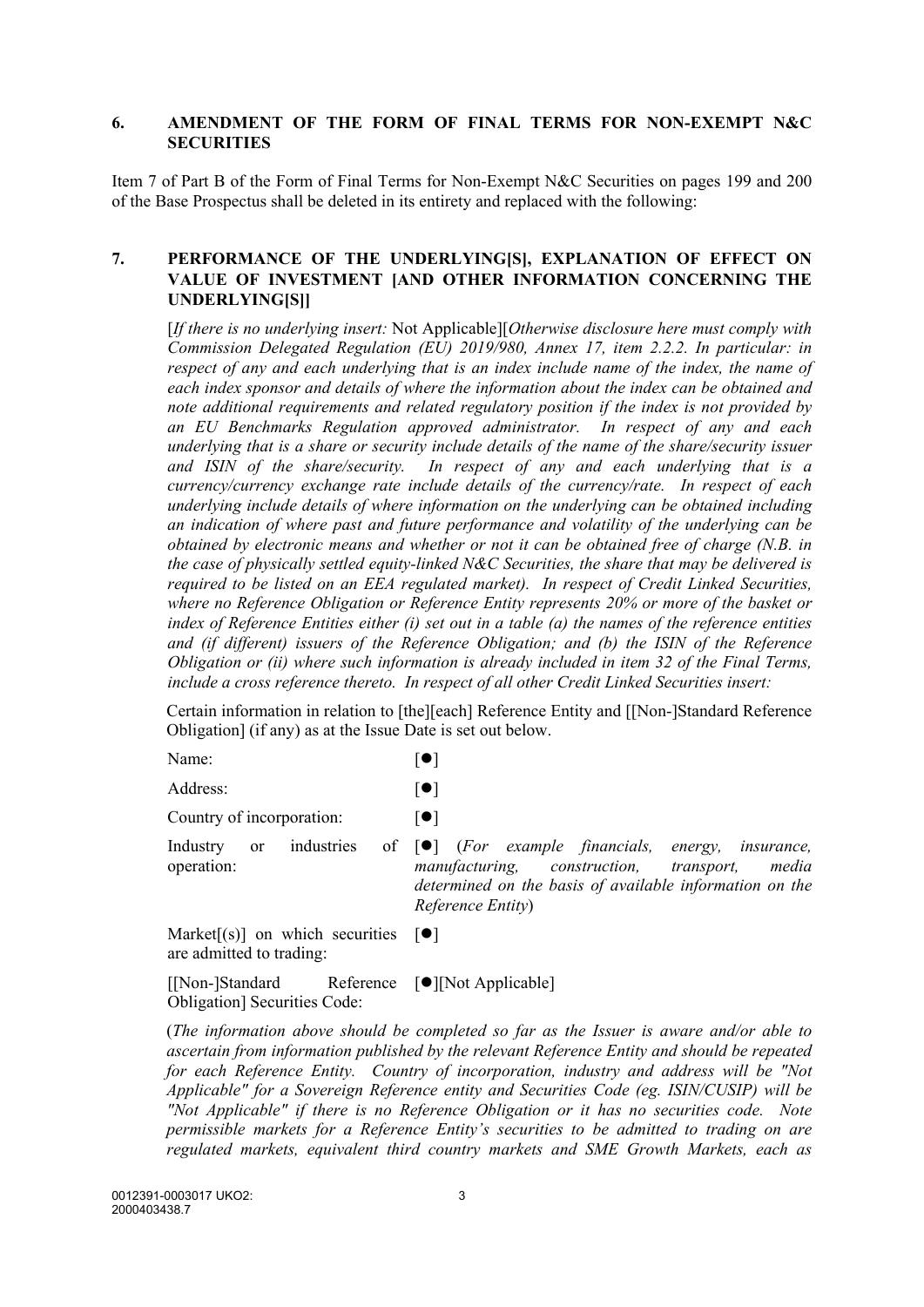#### **6. AMENDMENT OF THE FORM OF FINAL TERMS FOR NON-EXEMPT N&C SECURITIES**

Item 7 of Part B of the Form of Final Terms for Non-Exempt N&C Securities on pages 199 and 200 of the Base Prospectus shall be deleted in its entirety and replaced with the following:

## **7. PERFORMANCE OF THE UNDERLYING[S], EXPLANATION OF EFFECT ON VALUE OF INVESTMENT [AND OTHER INFORMATION CONCERNING THE UNDERLYING[S]]**

[*If there is no underlying insert:* Not Applicable][*Otherwise disclosure here must comply with Commission Delegated Regulation (EU) 2019/980, Annex 17, item 2.2.2. In particular: in respect of any and each underlying that is an index include name of the index, the name of each index sponsor and details of where the information about the index can be obtained and note additional requirements and related regulatory position if the index is not provided by an EU Benchmarks Regulation approved administrator. In respect of any and each underlying that is a share or security include details of the name of the share/security issuer and ISIN of the share/security. In respect of any and each underlying that is a currency/currency exchange rate include details of the currency/rate. In respect of each underlying include details of where information on the underlying can be obtained including an indication of where past and future performance and volatility of the underlying can be obtained by electronic means and whether or not it can be obtained free of charge (N.B. in the case of physically settled equity-linked N&C Securities, the share that may be delivered is required to be listed on an EEA regulated market). In respect of Credit Linked Securities, where no Reference Obligation or Reference Entity represents 20% or more of the basket or index of Reference Entities either (i) set out in a table (a) the names of the reference entities and (if different) issuers of the Reference Obligation; and (b) the ISIN of the Reference Obligation or (ii) where such information is already included in item 32 of the Final Terms, include a cross reference thereto. In respect of all other Credit Linked Securities insert:* 

Certain information in relation to [the][each] Reference Entity and [[Non-]Standard Reference Obligation] (if any) as at the Issue Date is set out below.

| Name:                                                                   | $\lceil \bullet \rceil$                                                                                                                                                                                             |
|-------------------------------------------------------------------------|---------------------------------------------------------------------------------------------------------------------------------------------------------------------------------------------------------------------|
| Address:                                                                | $\lceil \bullet \rceil$                                                                                                                                                                                             |
| Country of incorporation:                                               | $  \bullet  $                                                                                                                                                                                                       |
| operation:                                                              | Industry or industries of $\bullet$ (For example financials, energy, insurance,<br>manufacturing, construction, transport,<br>media<br>determined on the basis of available information on the<br>Reference Entity) |
| Market[(s)] on which securities $[\bullet]$<br>are admitted to trading: |                                                                                                                                                                                                                     |

 $[$ [Non-]Standard Obligation] Securities Code: Reference  $[\bullet]$ [Not Applicable]

(*The information above should be completed so far as the Issuer is aware and/or able to ascertain from information published by the relevant Reference Entity and should be repeated for each Reference Entity. Country of incorporation, industry and address will be "Not Applicable" for a Sovereign Reference entity and Securities Code (eg. ISIN/CUSIP) will be "Not Applicable" if there is no Reference Obligation or it has no securities code. Note permissible markets for a Reference Entity's securities to be admitted to trading on are regulated markets, equivalent third country markets and SME Growth Markets, each as*